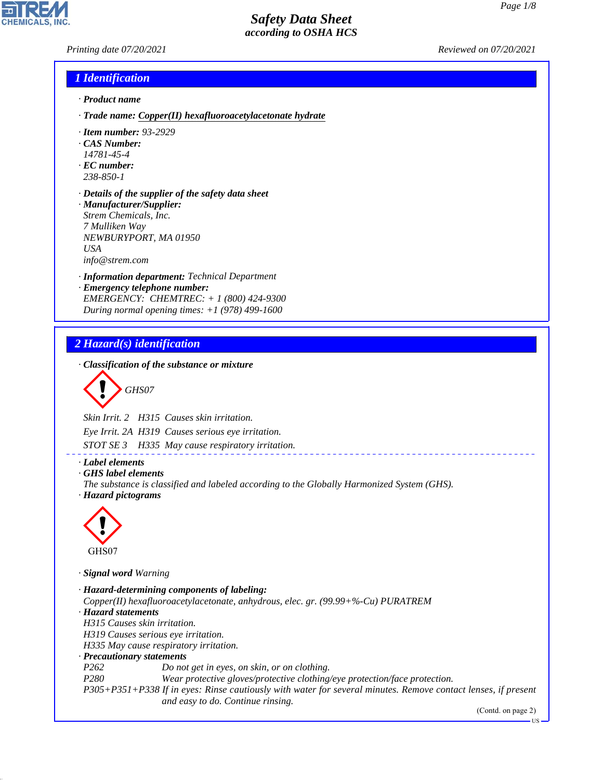*Printing date 07/20/2021 Reviewed on 07/20/2021*

#### *1 Identification*

- *· Product name*
- *· Trade name: Copper(II) hexafluoroacetylacetonate hydrate*
- *· Item number: 93-2929*
- *· CAS Number:*
- *14781-45-4*
- *· EC number: 238-850-1*
- *· Details of the supplier of the safety data sheet · Manufacturer/Supplier: Strem Chemicals, Inc.*
- *7 Mulliken Way NEWBURYPORT, MA 01950 USA info@strem.com*
- *· Information department: Technical Department*
- *· Emergency telephone number: EMERGENCY: CHEMTREC: + 1 (800) 424-9300 During normal opening times: +1 (978) 499-1600*

## *2 Hazard(s) identification*

*· Classification of the substance or mixture*

$$
\bigotimes \text{GHSO7}
$$

*Skin Irrit. 2 H315 Causes skin irritation.*

*Eye Irrit. 2A H319 Causes serious eye irritation.*

*STOT SE 3 H335 May cause respiratory irritation.*

*· Label elements*

*· GHS label elements*

*The substance is classified and labeled according to the Globally Harmonized System (GHS). · Hazard pictograms*



44.1.1

*· Signal word Warning*

*· Hazard-determining components of labeling: Copper(II) hexafluoroacetylacetonate, anhydrous, elec. gr. (99.99+%-Cu) PURATREM · Hazard statements H315 Causes skin irritation. H319 Causes serious eye irritation. H335 May cause respiratory irritation. · Precautionary statements P262 Do not get in eyes, on skin, or on clothing. P280 Wear protective gloves/protective clothing/eye protection/face protection. P305+P351+P338 If in eyes: Rinse cautiously with water for several minutes. Remove contact lenses, if present and easy to do. Continue rinsing.* (Contd. on page 2)

\_\_\_\_\_\_\_\_\_\_\_\_\_\_\_\_\_\_\_\_\_\_\_\_\_\_

US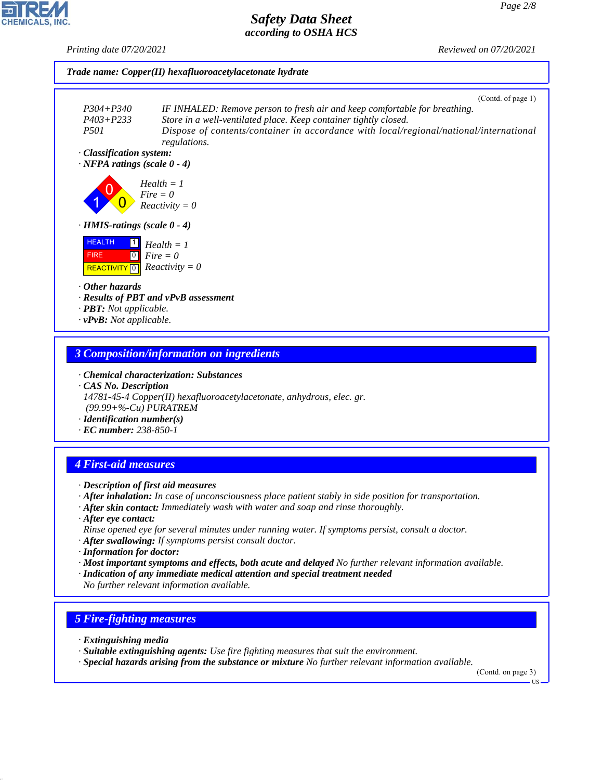*Printing date 07/20/2021 Reviewed on 07/20/2021*



# *· Chemical characterization: Substances*

*· CAS No. Description 14781-45-4 Copper(II) hexafluoroacetylacetonate, anhydrous, elec. gr. (99.99+%-Cu) PURATREM*

*· Identification number(s)*

## *· EC number: 238-850-1*

## *4 First-aid measures*

- *· Description of first aid measures*
- *· After inhalation: In case of unconsciousness place patient stably in side position for transportation.*
- *· After skin contact: Immediately wash with water and soap and rinse thoroughly.*
- *· After eye contact: Rinse opened eye for several minutes under running water. If symptoms persist, consult a doctor.*
- *· After swallowing: If symptoms persist consult doctor.*
- *· Information for doctor:*
- *· Most important symptoms and effects, both acute and delayed No further relevant information available.*
- *· Indication of any immediate medical attention and special treatment needed No further relevant information available.*

## *5 Fire-fighting measures*

*· Extinguishing media*

44.1.1

- *· Suitable extinguishing agents: Use fire fighting measures that suit the environment.*
- *· Special hazards arising from the substance or mixture No further relevant information available.*

(Contd. on page 3)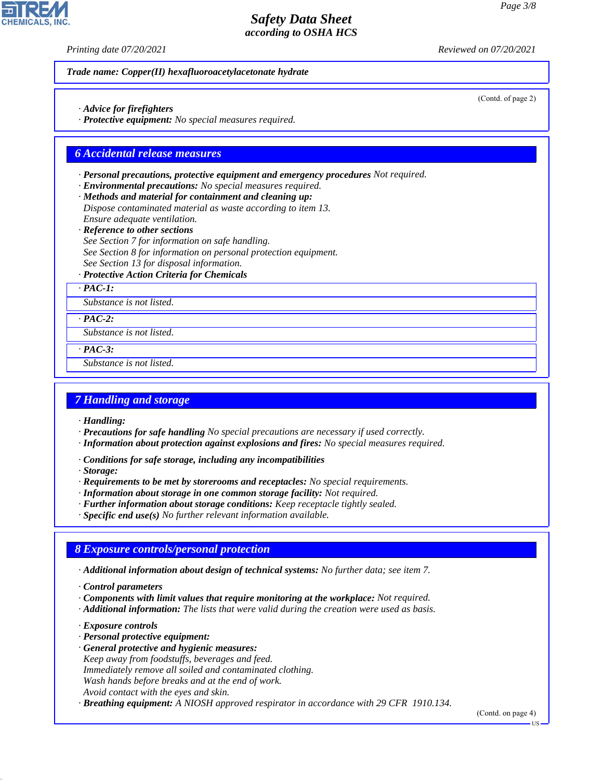*Printing date 07/20/2021 Reviewed on 07/20/2021*

#### *Trade name: Copper(II) hexafluoroacetylacetonate hydrate*

- *· Advice for firefighters*
- *· Protective equipment: No special measures required.*

#### *6 Accidental release measures*

- *· Personal precautions, protective equipment and emergency procedures Not required.*
- *· Environmental precautions: No special measures required.*
- *· Methods and material for containment and cleaning up: Dispose contaminated material as waste according to item 13. Ensure adequate ventilation.*
- *· Reference to other sections*
- *See Section 7 for information on safe handling.*
- *See Section 8 for information on personal protection equipment.*
- *See Section 13 for disposal information.*

#### *· Protective Action Criteria for Chemicals*

*· PAC-1:*

*Substance is not listed.*

*· PAC-2:*

*Substance is not listed.*

- *· PAC-3:*
- *Substance is not listed.*

#### *7 Handling and storage*

- *· Handling:*
- *· Precautions for safe handling No special precautions are necessary if used correctly.*
- *· Information about protection against explosions and fires: No special measures required.*
- *· Conditions for safe storage, including any incompatibilities*
- *· Storage:*
- *· Requirements to be met by storerooms and receptacles: No special requirements.*
- *· Information about storage in one common storage facility: Not required.*
- *· Further information about storage conditions: Keep receptacle tightly sealed.*
- *· Specific end use(s) No further relevant information available.*

## *8 Exposure controls/personal protection*

- *· Additional information about design of technical systems: No further data; see item 7.*
- *· Control parameters*
- *· Components with limit values that require monitoring at the workplace: Not required.*
- *· Additional information: The lists that were valid during the creation were used as basis.*
- *· Exposure controls*

44.1.1

- *· Personal protective equipment:*
- *· General protective and hygienic measures:*
- *Keep away from foodstuffs, beverages and feed.*
- *Immediately remove all soiled and contaminated clothing.*
- *Wash hands before breaks and at the end of work.*
- *Avoid contact with the eyes and skin.*

*· Breathing equipment: A NIOSH approved respirator in accordance with 29 CFR 1910.134.*

(Contd. on page 4)

(Contd. of page 2)

US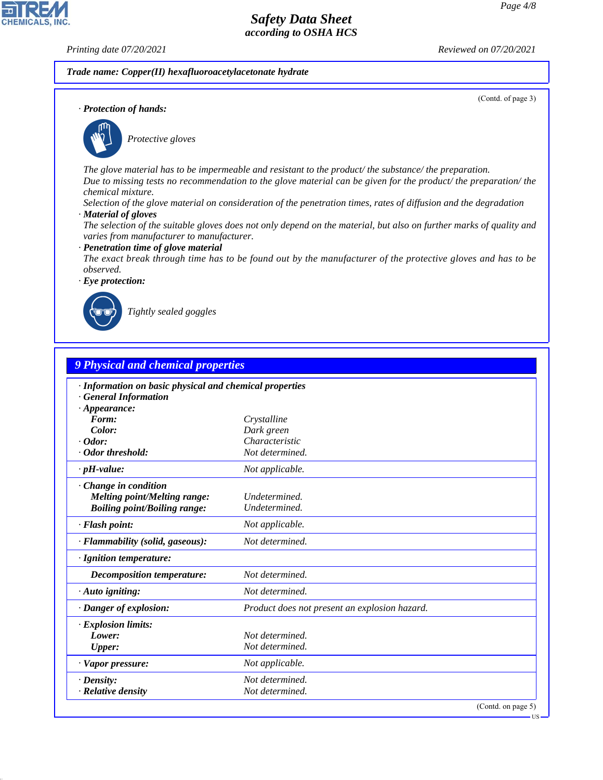(Contd. of page 3)

## *Safety Data Sheet according to OSHA HCS*

**CHEMICALS, INC** 

*Printing date 07/20/2021 Reviewed on 07/20/2021*

#### *Trade name: Copper(II) hexafluoroacetylacetonate hydrate*

*· Protection of hands:*



\_S*Protective gloves*

*The glove material has to be impermeable and resistant to the product/ the substance/ the preparation. Due to missing tests no recommendation to the glove material can be given for the product/ the preparation/ the chemical mixture.*

*Selection of the glove material on consideration of the penetration times, rates of diffusion and the degradation · Material of gloves*

*The selection of the suitable gloves does not only depend on the material, but also on further marks of quality and varies from manufacturer to manufacturer.*

*· Penetration time of glove material*

*The exact break through time has to be found out by the manufacturer of the protective gloves and has to be observed.*

*· Eye protection:*



44.1.1

\_R*Tightly sealed goggles*

| · Information on basic physical and chemical properties<br><b>General Information</b><br>$\cdot$ Appearance:<br>Form:<br>Crystalline<br>Color:<br>Dark green<br>Characteristic<br>$\cdot$ Odor:<br>· Odor threshold:<br>Not determined.<br>$\cdot$ pH-value:<br>Not applicable.<br>Change in condition<br><b>Melting point/Melting range:</b><br>Undetermined.<br><b>Boiling point/Boiling range:</b><br>Undetermined.<br>· Flash point:<br>Not applicable.<br>Not determined.<br>· Flammability (solid, gaseous):<br>· Ignition temperature:<br>Not determined.<br><b>Decomposition temperature:</b><br>Not determined.<br>$\cdot$ Auto igniting:<br>· Danger of explosion:<br>Product does not present an explosion hazard.<br><b>Explosion limits:</b><br>Lower:<br>Not determined.<br>Not determined.<br>Upper:<br>· Vapor pressure:<br>Not applicable.<br>Not determined. | <b>9 Physical and chemical properties</b> |  |  |
|--------------------------------------------------------------------------------------------------------------------------------------------------------------------------------------------------------------------------------------------------------------------------------------------------------------------------------------------------------------------------------------------------------------------------------------------------------------------------------------------------------------------------------------------------------------------------------------------------------------------------------------------------------------------------------------------------------------------------------------------------------------------------------------------------------------------------------------------------------------------------------|-------------------------------------------|--|--|
|                                                                                                                                                                                                                                                                                                                                                                                                                                                                                                                                                                                                                                                                                                                                                                                                                                                                                |                                           |  |  |
|                                                                                                                                                                                                                                                                                                                                                                                                                                                                                                                                                                                                                                                                                                                                                                                                                                                                                |                                           |  |  |
|                                                                                                                                                                                                                                                                                                                                                                                                                                                                                                                                                                                                                                                                                                                                                                                                                                                                                |                                           |  |  |
|                                                                                                                                                                                                                                                                                                                                                                                                                                                                                                                                                                                                                                                                                                                                                                                                                                                                                |                                           |  |  |
|                                                                                                                                                                                                                                                                                                                                                                                                                                                                                                                                                                                                                                                                                                                                                                                                                                                                                |                                           |  |  |
|                                                                                                                                                                                                                                                                                                                                                                                                                                                                                                                                                                                                                                                                                                                                                                                                                                                                                |                                           |  |  |
|                                                                                                                                                                                                                                                                                                                                                                                                                                                                                                                                                                                                                                                                                                                                                                                                                                                                                |                                           |  |  |
|                                                                                                                                                                                                                                                                                                                                                                                                                                                                                                                                                                                                                                                                                                                                                                                                                                                                                |                                           |  |  |
|                                                                                                                                                                                                                                                                                                                                                                                                                                                                                                                                                                                                                                                                                                                                                                                                                                                                                |                                           |  |  |
|                                                                                                                                                                                                                                                                                                                                                                                                                                                                                                                                                                                                                                                                                                                                                                                                                                                                                |                                           |  |  |
|                                                                                                                                                                                                                                                                                                                                                                                                                                                                                                                                                                                                                                                                                                                                                                                                                                                                                |                                           |  |  |
|                                                                                                                                                                                                                                                                                                                                                                                                                                                                                                                                                                                                                                                                                                                                                                                                                                                                                |                                           |  |  |
|                                                                                                                                                                                                                                                                                                                                                                                                                                                                                                                                                                                                                                                                                                                                                                                                                                                                                |                                           |  |  |
|                                                                                                                                                                                                                                                                                                                                                                                                                                                                                                                                                                                                                                                                                                                                                                                                                                                                                |                                           |  |  |
|                                                                                                                                                                                                                                                                                                                                                                                                                                                                                                                                                                                                                                                                                                                                                                                                                                                                                |                                           |  |  |
|                                                                                                                                                                                                                                                                                                                                                                                                                                                                                                                                                                                                                                                                                                                                                                                                                                                                                |                                           |  |  |
|                                                                                                                                                                                                                                                                                                                                                                                                                                                                                                                                                                                                                                                                                                                                                                                                                                                                                |                                           |  |  |
|                                                                                                                                                                                                                                                                                                                                                                                                                                                                                                                                                                                                                                                                                                                                                                                                                                                                                |                                           |  |  |
|                                                                                                                                                                                                                                                                                                                                                                                                                                                                                                                                                                                                                                                                                                                                                                                                                                                                                | $\cdot$ Density:                          |  |  |
| · Relative density<br>Not determined.                                                                                                                                                                                                                                                                                                                                                                                                                                                                                                                                                                                                                                                                                                                                                                                                                                          |                                           |  |  |

**IIS**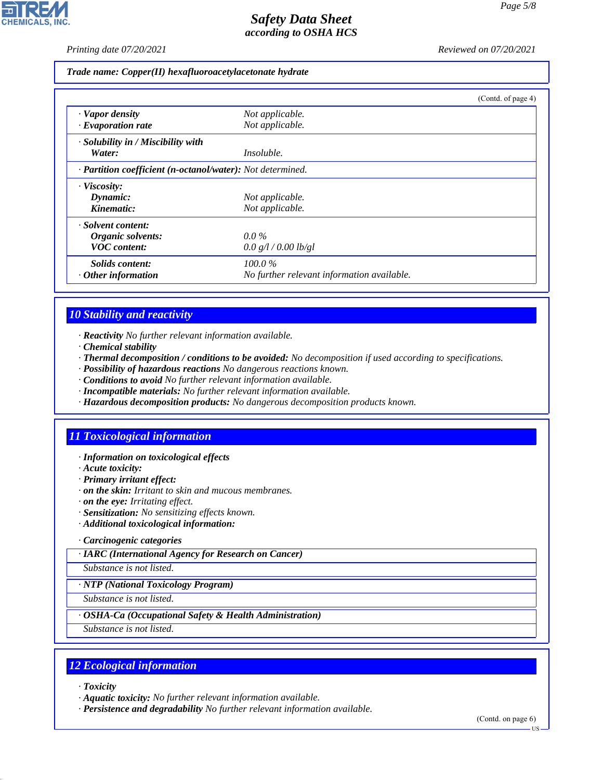*Printing date 07/20/2021 Reviewed on 07/20/2021*

*Trade name: Copper(II) hexafluoroacetylacetonate hydrate*

|                                                            |                                            | (Contd. of page 4) |
|------------------------------------------------------------|--------------------------------------------|--------------------|
| · Vapor density                                            | Not applicable.                            |                    |
| $\cdot$ Evaporation rate                                   | Not applicable.                            |                    |
| $\cdot$ Solubility in / Miscibility with                   |                                            |                    |
| Water:                                                     | <i>Insoluble.</i>                          |                    |
| · Partition coefficient (n-octanol/water): Not determined. |                                            |                    |
| · Viscosity:                                               |                                            |                    |
| Dynamic:                                                   | Not applicable.                            |                    |
| Kinematic:                                                 | Not applicable.                            |                    |
| · Solvent content:                                         |                                            |                    |
| Organic solvents:                                          | $0.0\%$                                    |                    |
| <b>VOC</b> content:                                        | 0.0 g/l / 0.00 lb/gl                       |                    |
| Solids content:                                            | $100.0\%$                                  |                    |
| $\cdot$ Other information                                  | No further relevant information available. |                    |

## *10 Stability and reactivity*

- *· Reactivity No further relevant information available.*
- *· Chemical stability*
- *· Thermal decomposition / conditions to be avoided: No decomposition if used according to specifications.*
- *· Possibility of hazardous reactions No dangerous reactions known.*
- *· Conditions to avoid No further relevant information available.*
- *· Incompatible materials: No further relevant information available.*
- *· Hazardous decomposition products: No dangerous decomposition products known.*

## *11 Toxicological information*

- *· Information on toxicological effects*
- *· Acute toxicity:*
- *· Primary irritant effect:*
- *· on the skin: Irritant to skin and mucous membranes.*
- *· on the eye: Irritating effect.*
- *· Sensitization: No sensitizing effects known.*
- *· Additional toxicological information:*

#### *· Carcinogenic categories*

*· IARC (International Agency for Research on Cancer)*

*Substance is not listed.*

#### *· NTP (National Toxicology Program)*

*Substance is not listed.*

#### *· OSHA-Ca (Occupational Safety & Health Administration)*

*Substance is not listed.*

## *12 Ecological information*

*· Toxicity*

44.1.1

- *· Aquatic toxicity: No further relevant information available.*
- *· Persistence and degradability No further relevant information available.*

(Contd. on page 6) US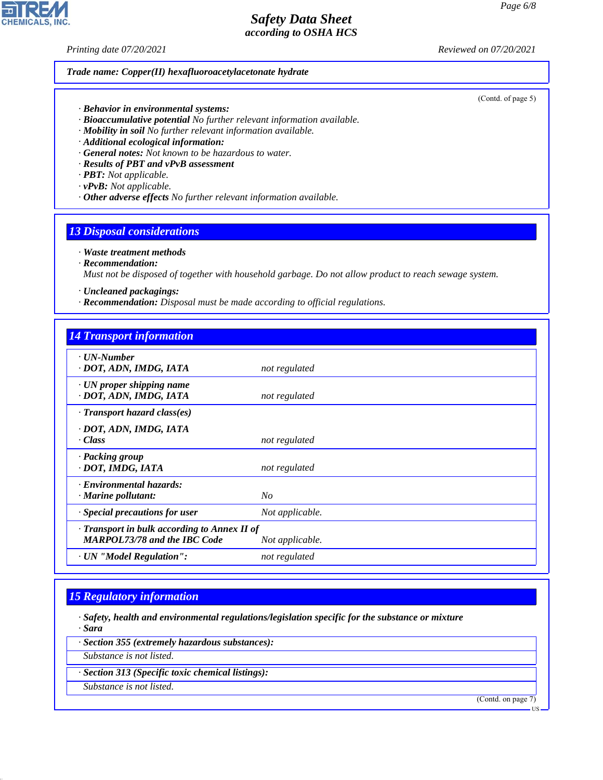*Printing date 07/20/2021 Reviewed on 07/20/2021*

#### *Trade name: Copper(II) hexafluoroacetylacetonate hydrate*

*· Behavior in environmental systems:*

- *· Bioaccumulative potential No further relevant information available.*
- *· Mobility in soil No further relevant information available.*
- *· Additional ecological information:*
- *· General notes: Not known to be hazardous to water.*
- *· Results of PBT and vPvB assessment*
- *· PBT: Not applicable.*
- *· vPvB: Not applicable.*
- *· Other adverse effects No further relevant information available.*

#### *13 Disposal considerations*

#### *· Waste treatment methods*

*· Recommendation:*

*Must not be disposed of together with household garbage. Do not allow product to reach sewage system.*

- *· Uncleaned packagings:*
- *· Recommendation: Disposal must be made according to official regulations.*

| <b>14 Transport information</b>                                                     |                 |
|-------------------------------------------------------------------------------------|-----------------|
| $\cdot$ UN-Number<br>· DOT, ADN, IMDG, IATA                                         | not regulated   |
| $\cdot$ UN proper shipping name<br>· DOT, ADN, IMDG, IATA                           | not regulated   |
| $\cdot$ Transport hazard class(es)                                                  |                 |
| · DOT, ADN, IMDG, IATA<br>$\cdot$ Class                                             | not regulated   |
| · Packing group<br>· DOT, IMDG, IATA                                                | not regulated   |
| · Environmental hazards:<br>$\cdot$ Marine pollutant:                               | No              |
| · Special precautions for user                                                      | Not applicable. |
| · Transport in bulk according to Annex II of<br><b>MARPOL73/78 and the IBC Code</b> | Not applicable. |
| · UN "Model Regulation":                                                            | not regulated   |

#### *15 Regulatory information*

*· Safety, health and environmental regulations/legislation specific for the substance or mixture · Sara*

*· Section 355 (extremely hazardous substances):*

*Substance is not listed.*

*· Section 313 (Specific toxic chemical listings):*

*Substance is not listed.*

44.1.1

(Contd. on page 7)



#### (Contd. of page 5)

US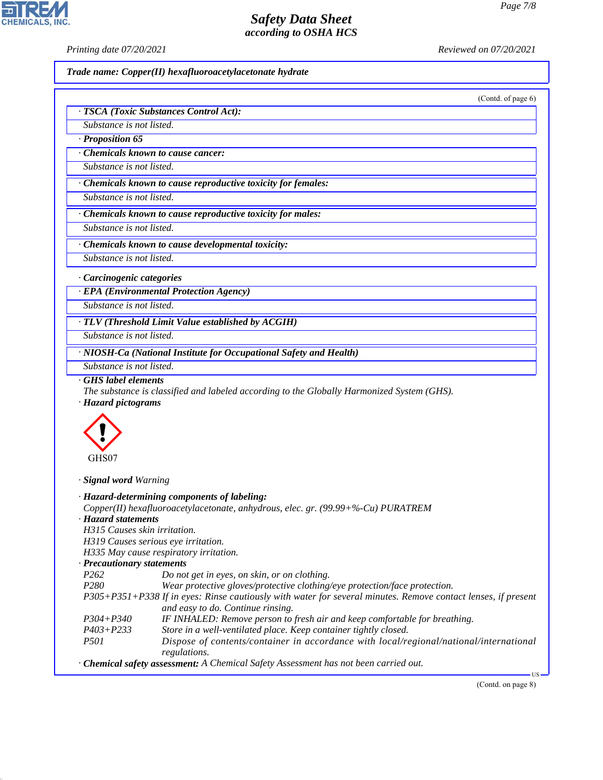(Contd. of page 6)

## *Safety Data Sheet according to OSHA HCS*

*Printing date 07/20/2021 Reviewed on 07/20/2021*

*Trade name: Copper(II) hexafluoroacetylacetonate hydrate*

|                                                                                                                                                                            | · TSCA (Toxic Substances Control Act):                                                                                                                                                                                                                                                                                                                                                                                                                                                                                                                                                                                                                                                                                                                                                                                                                    |  |  |  |
|----------------------------------------------------------------------------------------------------------------------------------------------------------------------------|-----------------------------------------------------------------------------------------------------------------------------------------------------------------------------------------------------------------------------------------------------------------------------------------------------------------------------------------------------------------------------------------------------------------------------------------------------------------------------------------------------------------------------------------------------------------------------------------------------------------------------------------------------------------------------------------------------------------------------------------------------------------------------------------------------------------------------------------------------------|--|--|--|
| Substance is not listed.                                                                                                                                                   |                                                                                                                                                                                                                                                                                                                                                                                                                                                                                                                                                                                                                                                                                                                                                                                                                                                           |  |  |  |
| Proposition 65                                                                                                                                                             |                                                                                                                                                                                                                                                                                                                                                                                                                                                                                                                                                                                                                                                                                                                                                                                                                                                           |  |  |  |
|                                                                                                                                                                            | <b>Chemicals known to cause cancer:</b>                                                                                                                                                                                                                                                                                                                                                                                                                                                                                                                                                                                                                                                                                                                                                                                                                   |  |  |  |
| Substance is not listed.                                                                                                                                                   |                                                                                                                                                                                                                                                                                                                                                                                                                                                                                                                                                                                                                                                                                                                                                                                                                                                           |  |  |  |
|                                                                                                                                                                            | Chemicals known to cause reproductive toxicity for females:                                                                                                                                                                                                                                                                                                                                                                                                                                                                                                                                                                                                                                                                                                                                                                                               |  |  |  |
| Substance is not listed.                                                                                                                                                   |                                                                                                                                                                                                                                                                                                                                                                                                                                                                                                                                                                                                                                                                                                                                                                                                                                                           |  |  |  |
|                                                                                                                                                                            |                                                                                                                                                                                                                                                                                                                                                                                                                                                                                                                                                                                                                                                                                                                                                                                                                                                           |  |  |  |
|                                                                                                                                                                            | Chemicals known to cause reproductive toxicity for males:                                                                                                                                                                                                                                                                                                                                                                                                                                                                                                                                                                                                                                                                                                                                                                                                 |  |  |  |
| Substance is not listed.                                                                                                                                                   |                                                                                                                                                                                                                                                                                                                                                                                                                                                                                                                                                                                                                                                                                                                                                                                                                                                           |  |  |  |
|                                                                                                                                                                            | · Chemicals known to cause developmental toxicity:                                                                                                                                                                                                                                                                                                                                                                                                                                                                                                                                                                                                                                                                                                                                                                                                        |  |  |  |
| Substance is not listed.                                                                                                                                                   |                                                                                                                                                                                                                                                                                                                                                                                                                                                                                                                                                                                                                                                                                                                                                                                                                                                           |  |  |  |
| · Carcinogenic categories                                                                                                                                                  |                                                                                                                                                                                                                                                                                                                                                                                                                                                                                                                                                                                                                                                                                                                                                                                                                                                           |  |  |  |
|                                                                                                                                                                            | · EPA (Environmental Protection Agency)                                                                                                                                                                                                                                                                                                                                                                                                                                                                                                                                                                                                                                                                                                                                                                                                                   |  |  |  |
| Substance is not listed.                                                                                                                                                   |                                                                                                                                                                                                                                                                                                                                                                                                                                                                                                                                                                                                                                                                                                                                                                                                                                                           |  |  |  |
|                                                                                                                                                                            | · TLV (Threshold Limit Value established by ACGIH)                                                                                                                                                                                                                                                                                                                                                                                                                                                                                                                                                                                                                                                                                                                                                                                                        |  |  |  |
| Substance is not listed.                                                                                                                                                   |                                                                                                                                                                                                                                                                                                                                                                                                                                                                                                                                                                                                                                                                                                                                                                                                                                                           |  |  |  |
|                                                                                                                                                                            | · NIOSH-Ca (National Institute for Occupational Safety and Health)                                                                                                                                                                                                                                                                                                                                                                                                                                                                                                                                                                                                                                                                                                                                                                                        |  |  |  |
| Substance is not listed.                                                                                                                                                   |                                                                                                                                                                                                                                                                                                                                                                                                                                                                                                                                                                                                                                                                                                                                                                                                                                                           |  |  |  |
| · Hazard pictograms<br>GHS07                                                                                                                                               |                                                                                                                                                                                                                                                                                                                                                                                                                                                                                                                                                                                                                                                                                                                                                                                                                                                           |  |  |  |
| · Signal word Warning                                                                                                                                                      |                                                                                                                                                                                                                                                                                                                                                                                                                                                                                                                                                                                                                                                                                                                                                                                                                                                           |  |  |  |
| · Hazard statements<br>H315 Causes skin irritation.<br>· Precautionary statements<br>P <sub>262</sub><br>P <sub>280</sub><br>$P304 + P340$<br>$P403 + P233$<br><i>P501</i> | · Hazard-determining components of labeling:<br>Copper(II) hexafluoroacetylacetonate, anhydrous, elec. gr. (99.99+%-Cu) PURATREM<br>H319 Causes serious eye irritation.<br>H335 May cause respiratory irritation.<br>Do not get in eyes, on skin, or on clothing.<br>Wear protective gloves/protective clothing/eye protection/face protection.<br>P305+P351+P338 If in eyes: Rinse cautiously with water for several minutes. Remove contact lenses, if present<br>and easy to do. Continue rinsing.<br>IF INHALED: Remove person to fresh air and keep comfortable for breathing.<br>Store in a well-ventilated place. Keep container tightly closed.<br>Dispose of contents/container in accordance with local/regional/national/international<br>regulations.<br>· Chemical safety assessment: A Chemical Safety Assessment has not been carried out. |  |  |  |
|                                                                                                                                                                            | - US                                                                                                                                                                                                                                                                                                                                                                                                                                                                                                                                                                                                                                                                                                                                                                                                                                                      |  |  |  |
|                                                                                                                                                                            | (Contd. on page 8)                                                                                                                                                                                                                                                                                                                                                                                                                                                                                                                                                                                                                                                                                                                                                                                                                                        |  |  |  |



44.1.1